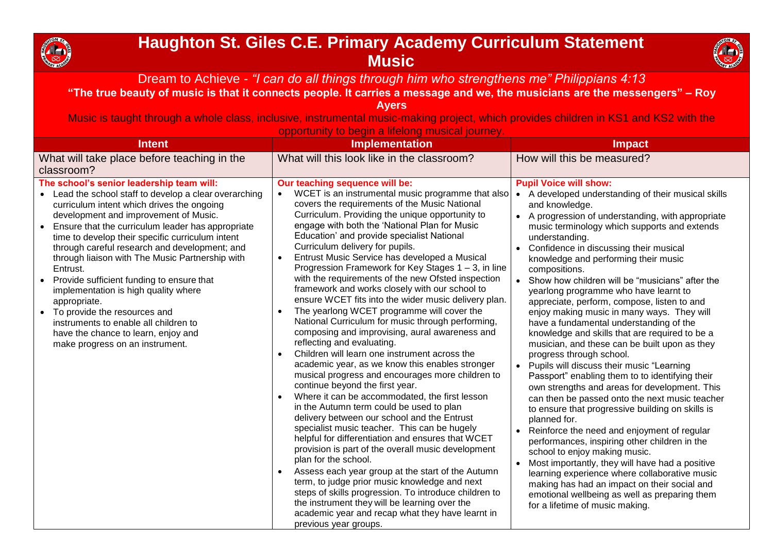

## **Haughton St. Giles C.E. Primary Academy Curriculum Statement Music**



Dream to Achieve *- "I can do all things through him who strengthens me" Philippians 4:13*

## **"The true beauty of music is that it connects people. It carries a message and we, the musicians are the messengers" – Roy**

**Ayers**

Music is taught through a whole class, inclusive, instrumental music-making project, which provides children in KS1 and KS2 with the opportunity to begin a lifelong musical journey.

| <b>Intent</b>                                                                                                                                                                                                                                                                                                                                                                                                                                                                                                                                                                                                                                                                                           | <b>Implementation</b>                                                                                                                                                                                                                                                                                                                                                                                                                                                                                                                                                                                                                                                                                                                                                                                                                                                                                                                                                                                                                                                                                                                                                                                                                                                                                                                                                                                                                                                                                                                                                                                                                                                         | <b>Impact</b>                                                                                                                                                                                                                                                                                                                                                                                                                                                                                                                                                                                                                                                                                                                                                                                                                                                                                                                                                                                                                                                                                                                                                                                                                                                                                                                                                                           |
|---------------------------------------------------------------------------------------------------------------------------------------------------------------------------------------------------------------------------------------------------------------------------------------------------------------------------------------------------------------------------------------------------------------------------------------------------------------------------------------------------------------------------------------------------------------------------------------------------------------------------------------------------------------------------------------------------------|-------------------------------------------------------------------------------------------------------------------------------------------------------------------------------------------------------------------------------------------------------------------------------------------------------------------------------------------------------------------------------------------------------------------------------------------------------------------------------------------------------------------------------------------------------------------------------------------------------------------------------------------------------------------------------------------------------------------------------------------------------------------------------------------------------------------------------------------------------------------------------------------------------------------------------------------------------------------------------------------------------------------------------------------------------------------------------------------------------------------------------------------------------------------------------------------------------------------------------------------------------------------------------------------------------------------------------------------------------------------------------------------------------------------------------------------------------------------------------------------------------------------------------------------------------------------------------------------------------------------------------------------------------------------------------|-----------------------------------------------------------------------------------------------------------------------------------------------------------------------------------------------------------------------------------------------------------------------------------------------------------------------------------------------------------------------------------------------------------------------------------------------------------------------------------------------------------------------------------------------------------------------------------------------------------------------------------------------------------------------------------------------------------------------------------------------------------------------------------------------------------------------------------------------------------------------------------------------------------------------------------------------------------------------------------------------------------------------------------------------------------------------------------------------------------------------------------------------------------------------------------------------------------------------------------------------------------------------------------------------------------------------------------------------------------------------------------------|
| What will take place before teaching in the<br>classroom?                                                                                                                                                                                                                                                                                                                                                                                                                                                                                                                                                                                                                                               | What will this look like in the classroom?                                                                                                                                                                                                                                                                                                                                                                                                                                                                                                                                                                                                                                                                                                                                                                                                                                                                                                                                                                                                                                                                                                                                                                                                                                                                                                                                                                                                                                                                                                                                                                                                                                    | How will this be measured?                                                                                                                                                                                                                                                                                                                                                                                                                                                                                                                                                                                                                                                                                                                                                                                                                                                                                                                                                                                                                                                                                                                                                                                                                                                                                                                                                              |
| The school's senior leadership team will:<br>• Lead the school staff to develop a clear overarching<br>curriculum intent which drives the ongoing<br>development and improvement of Music.<br>Ensure that the curriculum leader has appropriate<br>$\bullet$<br>time to develop their specific curriculum intent<br>through careful research and development; and<br>through liaison with The Music Partnership with<br>Entrust.<br>Provide sufficient funding to ensure that<br>$\bullet$<br>implementation is high quality where<br>appropriate.<br>• To provide the resources and<br>instruments to enable all children to<br>have the chance to learn, enjoy and<br>make progress on an instrument. | Our teaching sequence will be:<br>WCET is an instrumental music programme that also<br>covers the requirements of the Music National<br>Curriculum. Providing the unique opportunity to<br>engage with both the 'National Plan for Music<br>Education' and provide specialist National<br>Curriculum delivery for pupils.<br>Entrust Music Service has developed a Musical<br>$\bullet$<br>Progression Framework for Key Stages 1 – 3, in line<br>with the requirements of the new Ofsted inspection<br>framework and works closely with our school to<br>ensure WCET fits into the wider music delivery plan.<br>The yearlong WCET programme will cover the<br>$\bullet$<br>National Curriculum for music through performing,<br>composing and improvising, aural awareness and<br>reflecting and evaluating.<br>Children will learn one instrument across the<br>$\bullet$<br>academic year, as we know this enables stronger<br>musical progress and encourages more children to<br>continue beyond the first year.<br>Where it can be accommodated, the first lesson<br>$\bullet$<br>in the Autumn term could be used to plan<br>delivery between our school and the Entrust<br>specialist music teacher. This can be hugely<br>helpful for differentiation and ensures that WCET<br>provision is part of the overall music development<br>plan for the school.<br>Assess each year group at the start of the Autumn<br>$\bullet$<br>term, to judge prior music knowledge and next<br>steps of skills progression. To introduce children to<br>the instrument they will be learning over the<br>academic year and recap what they have learnt in<br>previous year groups. | <b>Pupil Voice will show:</b><br>A developed understanding of their musical skills<br>$\bullet$<br>and knowledge.<br>A progression of understanding, with appropriate<br>$\bullet$<br>music terminology which supports and extends<br>understanding.<br>Confidence in discussing their musical<br>knowledge and performing their music<br>compositions.<br>Show how children will be "musicians" after the<br>yearlong programme who have learnt to<br>appreciate, perform, compose, listen to and<br>enjoy making music in many ways. They will<br>have a fundamental understanding of the<br>knowledge and skills that are required to be a<br>musician, and these can be built upon as they<br>progress through school.<br>Pupils will discuss their music "Learning<br>$\bullet$<br>Passport" enabling them to to identifying their<br>own strengths and areas for development. This<br>can then be passed onto the next music teacher<br>to ensure that progressive building on skills is<br>planned for.<br>Reinforce the need and enjoyment of regular<br>performances, inspiring other children in the<br>school to enjoy making music.<br>Most importantly, they will have had a positive<br>learning experience where collaborative music<br>making has had an impact on their social and<br>emotional wellbeing as well as preparing them<br>for a lifetime of music making. |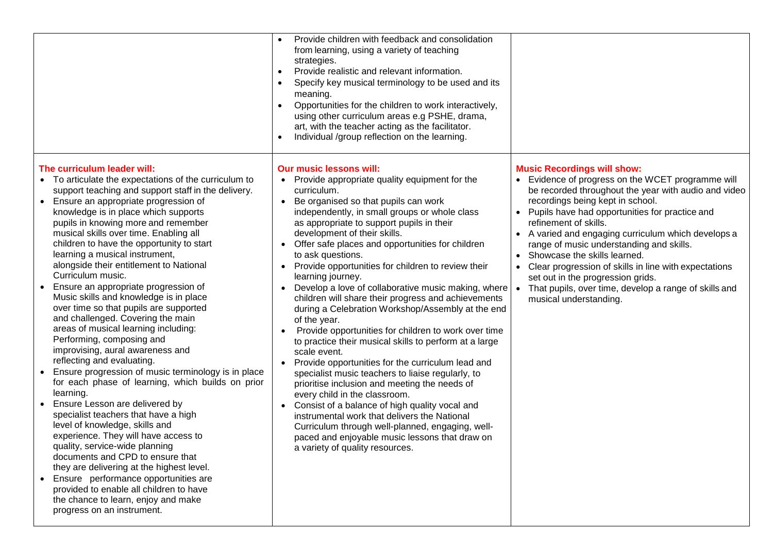|                                                                                                                                                                                                                                                                                                                                                                                                                                                                                                                                                                                                                                                                                                                                                                                                                                                                                                                                                                                                                                                                                                                                                                                                                                                                                                                                                                    | Provide children with feedback and consolidation<br>from learning, using a variety of teaching<br>strategies.<br>Provide realistic and relevant information.<br>$\bullet$<br>Specify key musical terminology to be used and its<br>meaning.<br>Opportunities for the children to work interactively,<br>using other curriculum areas e.g PSHE, drama,<br>art, with the teacher acting as the facilitator.<br>Individual /group reflection on the learning.                                                                                                                                                                                                                                                                                                                                                                                                                                                                                                                                                                                                                                                                                                                                                                                                                      |                                                                                                                                                                                                                                                                                                                                                                                                                                                                                                                                                                                               |
|--------------------------------------------------------------------------------------------------------------------------------------------------------------------------------------------------------------------------------------------------------------------------------------------------------------------------------------------------------------------------------------------------------------------------------------------------------------------------------------------------------------------------------------------------------------------------------------------------------------------------------------------------------------------------------------------------------------------------------------------------------------------------------------------------------------------------------------------------------------------------------------------------------------------------------------------------------------------------------------------------------------------------------------------------------------------------------------------------------------------------------------------------------------------------------------------------------------------------------------------------------------------------------------------------------------------------------------------------------------------|---------------------------------------------------------------------------------------------------------------------------------------------------------------------------------------------------------------------------------------------------------------------------------------------------------------------------------------------------------------------------------------------------------------------------------------------------------------------------------------------------------------------------------------------------------------------------------------------------------------------------------------------------------------------------------------------------------------------------------------------------------------------------------------------------------------------------------------------------------------------------------------------------------------------------------------------------------------------------------------------------------------------------------------------------------------------------------------------------------------------------------------------------------------------------------------------------------------------------------------------------------------------------------|-----------------------------------------------------------------------------------------------------------------------------------------------------------------------------------------------------------------------------------------------------------------------------------------------------------------------------------------------------------------------------------------------------------------------------------------------------------------------------------------------------------------------------------------------------------------------------------------------|
| The curriculum leader will:<br>• To articulate the expectations of the curriculum to<br>support teaching and support staff in the delivery.<br>Ensure an appropriate progression of<br>$\bullet$<br>knowledge is in place which supports<br>pupils in knowing more and remember<br>musical skills over time. Enabling all<br>children to have the opportunity to start<br>learning a musical instrument,<br>alongside their entitlement to National<br>Curriculum music.<br>Ensure an appropriate progression of<br>$\bullet$<br>Music skills and knowledge is in place<br>over time so that pupils are supported<br>and challenged. Covering the main<br>areas of musical learning including:<br>Performing, composing and<br>improvising, aural awareness and<br>reflecting and evaluating.<br>Ensure progression of music terminology is in place<br>$\bullet$<br>for each phase of learning, which builds on prior<br>learning.<br>Ensure Lesson are delivered by<br>specialist teachers that have a high<br>level of knowledge, skills and<br>experience. They will have access to<br>quality, service-wide planning<br>documents and CPD to ensure that<br>they are delivering at the highest level.<br>Ensure performance opportunities are<br>provided to enable all children to have<br>the chance to learn, enjoy and make<br>progress on an instrument. | <b>Our music lessons will:</b><br>Provide appropriate quality equipment for the<br>$\bullet$<br>curriculum.<br>Be organised so that pupils can work<br>$\bullet$<br>independently, in small groups or whole class<br>as appropriate to support pupils in their<br>development of their skills.<br>Offer safe places and opportunities for children<br>$\bullet$<br>to ask questions.<br>Provide opportunities for children to review their<br>$\bullet$<br>learning journey.<br>Develop a love of collaborative music making, where<br>children will share their progress and achievements<br>during a Celebration Workshop/Assembly at the end<br>of the year.<br>Provide opportunities for children to work over time<br>$\bullet$<br>to practice their musical skills to perform at a large<br>scale event.<br>Provide opportunities for the curriculum lead and<br>$\bullet$<br>specialist music teachers to liaise regularly, to<br>prioritise inclusion and meeting the needs of<br>every child in the classroom.<br>Consist of a balance of high quality vocal and<br>$\bullet$<br>instrumental work that delivers the National<br>Curriculum through well-planned, engaging, well-<br>paced and enjoyable music lessons that draw on<br>a variety of quality resources. | <b>Music Recordings will show:</b><br>• Evidence of progress on the WCET programme will<br>be recorded throughout the year with audio and video<br>recordings being kept in school.<br>Pupils have had opportunities for practice and<br>refinement of skills.<br>A varied and engaging curriculum which develops a<br>range of music understanding and skills.<br>Showcase the skills learned.<br>Clear progression of skills in line with expectations<br>set out in the progression grids.<br>That pupils, over time, develop a range of skills and<br>$\bullet$<br>musical understanding. |